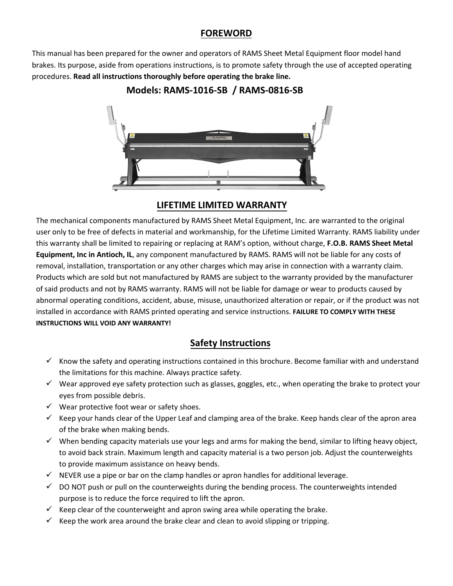### **FOREWORD**

This manual has been prepared for the owner and operators of RAMS Sheet Metal Equipment floor model hand brakes. Its purpose, aside from operations instructions, is to promote safety through the use of accepted operating procedures. **Read all instructions thoroughly before operating the brake line.**



# **Models: RAMS-1016-SB / RAMS-0816-SB**

### **LIFETIME LIMITED WARRANTY**

The mechanical components manufactured by RAMS Sheet Metal Equipment, Inc. are warranted to the original user only to be free of defects in material and workmanship, for the Lifetime Limited Warranty. RAMS liability under this warranty shall be limited to repairing or replacing at RAM's option, without charge, **F.O.B. RAMS Sheet Metal Equipment, Inc in Antioch, IL**, any component manufactured by RAMS. RAMS will not be liable for any costs of removal, installation, transportation or any other charges which may arise in connection with a warranty claim. Products which are sold but not manufactured by RAMS are subject to the warranty provided by the manufacturer of said products and not by RAMS warranty. RAMS will not be liable for damage or wear to products caused by abnormal operating conditions, accident, abuse, misuse, unauthorized alteration or repair, or if the product was not installed in accordance with RAMS printed operating and service instructions. **FAILURE TO COMPLY WITH THESE INSTRUCTIONS WILL VOID ANY WARRANTY!**

# **Safety Instructions**

- $\checkmark$  Know the safety and operating instructions contained in this brochure. Become familiar with and understand the limitations for this machine. Always practice safety.
- $\checkmark$  Wear approved eye safety protection such as glasses, goggles, etc., when operating the brake to protect your eyes from possible debris.
- $\checkmark$  Wear protective foot wear or safety shoes.
- $\checkmark$  Keep your hands clear of the Upper Leaf and clamping area of the brake. Keep hands clear of the apron area of the brake when making bends.
- $\checkmark$  When bending capacity materials use your legs and arms for making the bend, similar to lifting heavy object, to avoid back strain. Maximum length and capacity material is a two person job. Adjust the counterweights to provide maximum assistance on heavy bends.
- $\checkmark$  NEVER use a pipe or bar on the clamp handles or apron handles for additional leverage.
- $\checkmark$  DO NOT push or pull on the counterweights during the bending process. The counterweights intended purpose is to reduce the force required to lift the apron.
- $\checkmark$  Keep clear of the counterweight and apron swing area while operating the brake.
- $\checkmark$  Keep the work area around the brake clear and clean to avoid slipping or tripping.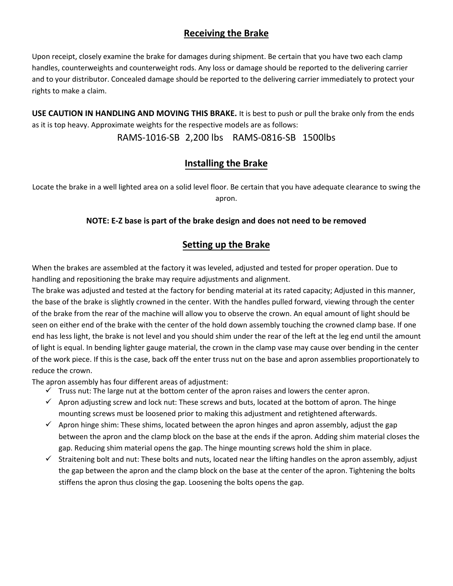### **Receiving the Brake**

Upon receipt, closely examine the brake for damages during shipment. Be certain that you have two each clamp handles, counterweights and counterweight rods. Any loss or damage should be reported to the delivering carrier and to your distributor. Concealed damage should be reported to the delivering carrier immediately to protect your rights to make a claim.

**USE CAUTION IN HANDLING AND MOVING THIS BRAKE.** It is best to push or pull the brake only from the ends as it is top heavy. Approximate weights for the respective models are as follows:

RAMS-1016-SB 2,200 lbs RAMS-0816-SB 1500lbs

## **Installing the Brake**

Locate the brake in a well lighted area on a solid level floor. Be certain that you have adequate clearance to swing the apron.

### **NOTE: E-Z base is part of the brake design and does not need to be removed**

## **Setting up the Brake**

When the brakes are assembled at the factory it was leveled, adjusted and tested for proper operation. Due to handling and repositioning the brake may require adjustments and alignment.

The brake was adjusted and tested at the factory for bending material at its rated capacity; Adjusted in this manner, the base of the brake is slightly crowned in the center. With the handles pulled forward, viewing through the center of the brake from the rear of the machine will allow you to observe the crown. An equal amount of light should be seen on either end of the brake with the center of the hold down assembly touching the crowned clamp base. If one end has less light, the brake is not level and you should shim under the rear of the left at the leg end until the amount of light is equal. In bending lighter gauge material, the crown in the clamp vase may cause over bending in the center of the work piece. If this is the case, back off the enter truss nut on the base and apron assemblies proportionately to reduce the crown.

The apron assembly has four different areas of adjustment:

- $\checkmark$  Truss nut: The large nut at the bottom center of the apron raises and lowers the center apron.
- $\checkmark$  Apron adjusting screw and lock nut: These screws and buts, located at the bottom of apron. The hinge mounting screws must be loosened prior to making this adjustment and retightened afterwards.
- $\checkmark$  Apron hinge shim: These shims, located between the apron hinges and apron assembly, adjust the gap between the apron and the clamp block on the base at the ends if the apron. Adding shim material closes the gap. Reducing shim material opens the gap. The hinge mounting screws hold the shim in place.
- $\checkmark$  Straitening bolt and nut: These bolts and nuts, located near the lifting handles on the apron assembly, adjust the gap between the apron and the clamp block on the base at the center of the apron. Tightening the bolts stiffens the apron thus closing the gap. Loosening the bolts opens the gap.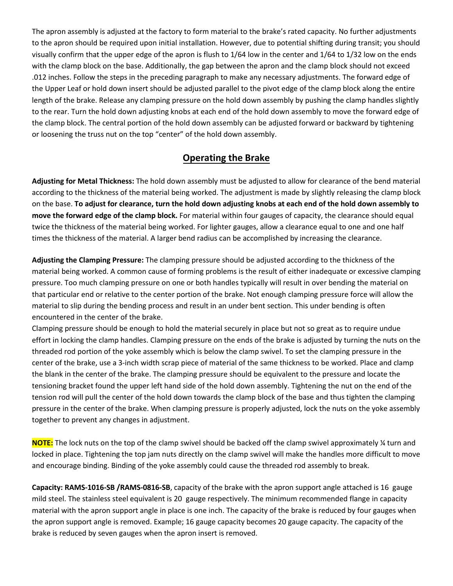The apron assembly is adjusted at the factory to form material to the brake's rated capacity. No further adjustments to the apron should be required upon initial installation. However, due to potential shifting during transit; you should visually confirm that the upper edge of the apron is flush to 1/64 low in the center and 1/64 to 1/32 low on the ends with the clamp block on the base. Additionally, the gap between the apron and the clamp block should not exceed .012 inches. Follow the steps in the preceding paragraph to make any necessary adjustments. The forward edge of the Upper Leaf or hold down insert should be adjusted parallel to the pivot edge of the clamp block along the entire length of the brake. Release any clamping pressure on the hold down assembly by pushing the clamp handles slightly to the rear. Turn the hold down adjusting knobs at each end of the hold down assembly to move the forward edge of the clamp block. The central portion of the hold down assembly can be adjusted forward or backward by tightening or loosening the truss nut on the top "center" of the hold down assembly.

### **Operating the Brake**

**Adjusting for Metal Thickness:** The hold down assembly must be adjusted to allow for clearance of the bend material according to the thickness of the material being worked. The adjustment is made by slightly releasing the clamp block on the base. **To adjust for clearance, turn the hold down adjusting knobs at each end of the hold down assembly to move the forward edge of the clamp block.** For material within four gauges of capacity, the clearance should equal twice the thickness of the material being worked. For lighter gauges, allow a clearance equal to one and one half times the thickness of the material. A larger bend radius can be accomplished by increasing the clearance.

**Adjusting the Clamping Pressure:** The clamping pressure should be adjusted according to the thickness of the material being worked. A common cause of forming problems is the result of either inadequate or excessive clamping pressure. Too much clamping pressure on one or both handles typically will result in over bending the material on that particular end or relative to the center portion of the brake. Not enough clamping pressure force will allow the material to slip during the bending process and result in an under bent section. This under bending is often encountered in the center of the brake.

Clamping pressure should be enough to hold the material securely in place but not so great as to require undue effort in locking the clamp handles. Clamping pressure on the ends of the brake is adjusted by turning the nuts on the threaded rod portion of the yoke assembly which is below the clamp swivel. To set the clamping pressure in the center of the brake, use a 3-inch width scrap piece of material of the same thickness to be worked. Place and clamp the blank in the center of the brake. The clamping pressure should be equivalent to the pressure and locate the tensioning bracket found the upper left hand side of the hold down assembly. Tightening the nut on the end of the tension rod will pull the center of the hold down towards the clamp block of the base and thus tighten the clamping pressure in the center of the brake. When clamping pressure is properly adjusted, lock the nuts on the yoke assembly together to prevent any changes in adjustment.

**NOTE:** The lock nuts on the top of the clamp swivel should be backed off the clamp swivel approximately ¼ turn and locked in place. Tightening the top jam nuts directly on the clamp swivel will make the handles more difficult to move and encourage binding. Binding of the yoke assembly could cause the threaded rod assembly to break.

**Capacity: RAMS-1016-SB /RAMS-0816-SB**, capacity of the brake with the apron support angle attached is 16 gauge mild steel. The stainless steel equivalent is 20 gauge respectively. The minimum recommended flange in capacity material with the apron support angle in place is one inch. The capacity of the brake is reduced by four gauges when the apron support angle is removed. Example; 16 gauge capacity becomes 20 gauge capacity. The capacity of the brake is reduced by seven gauges when the apron insert is removed.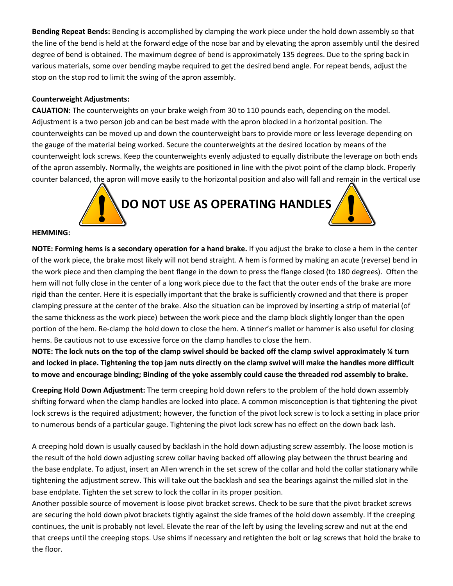**Bending Repeat Bends:** Bending is accomplished by clamping the work piece under the hold down assembly so that the line of the bend is held at the forward edge of the nose bar and by elevating the apron assembly until the desired degree of bend is obtained. The maximum degree of bend is approximately 135 degrees. Due to the spring back in various materials, some over bending maybe required to get the desired bend angle. For repeat bends, adjust the stop on the stop rod to limit the swing of the apron assembly.

#### **Counterweight Adjustments:**

**CAUATION:** The counterweights on your brake weigh from 30 to 110 pounds each, depending on the model. Adjustment is a two person job and can be best made with the apron blocked in a horizontal position. The counterweights can be moved up and down the counterweight bars to provide more or less leverage depending on the gauge of the material being worked. Secure the counterweights at the desired location by means of the counterweight lock screws. Keep the counterweights evenly adjusted to equally distribute the leverage on both ends of the apron assembly. Normally, the weights are positioned in line with the pivot point of the clamp block. Properly counter balanced, the apron will move easily to the horizontal position and also will fall and remain in the vertical use



#### **HEMMING:**

**NOTE: Forming hems is a secondary operation for a hand brake.** If you adjust the brake to close a hem in the center of the work piece, the brake most likely will not bend straight. A hem is formed by making an acute (reverse) bend in the work piece and then clamping the bent flange in the down to press the flange closed (to 180 degrees). Often the hem will not fully close in the center of a long work piece due to the fact that the outer ends of the brake are more rigid than the center. Here it is especially important that the brake is sufficiently crowned and that there is proper clamping pressure at the center of the brake. Also the situation can be improved by inserting a strip of material (of the same thickness as the work piece) between the work piece and the clamp block slightly longer than the open portion of the hem. Re-clamp the hold down to close the hem. A tinner's mallet or hammer is also useful for closing hems. Be cautious not to use excessive force on the clamp handles to close the hem.

**NOTE: The lock nuts on the top of the clamp swivel should be backed off the clamp swivel approximately ¼ turn and locked in place. Tightening the top jam nuts directly on the clamp swivel will make the handles more difficult to move and encourage binding; Binding of the yoke assembly could cause the threaded rod assembly to brake.**

**Creeping Hold Down Adjustment:** The term creeping hold down refers to the problem of the hold down assembly shifting forward when the clamp handles are locked into place. A common misconception is that tightening the pivot lock screws is the required adjustment; however, the function of the pivot lock screw is to lock a setting in place prior to numerous bends of a particular gauge. Tightening the pivot lock screw has no effect on the down back lash.

A creeping hold down is usually caused by backlash in the hold down adjusting screw assembly. The loose motion is the result of the hold down adjusting screw collar having backed off allowing play between the thrust bearing and the base endplate. To adjust, insert an Allen wrench in the set screw of the collar and hold the collar stationary while tightening the adjustment screw. This will take out the backlash and sea the bearings against the milled slot in the base endplate. Tighten the set screw to lock the collar in its proper position.

Another possible source of movement is loose pivot bracket screws. Check to be sure that the pivot bracket screws are securing the hold down pivot brackets tightly against the side frames of the hold down assembly. If the creeping continues, the unit is probably not level. Elevate the rear of the left by using the leveling screw and nut at the end that creeps until the creeping stops. Use shims if necessary and retighten the bolt or lag screws that hold the brake to the floor.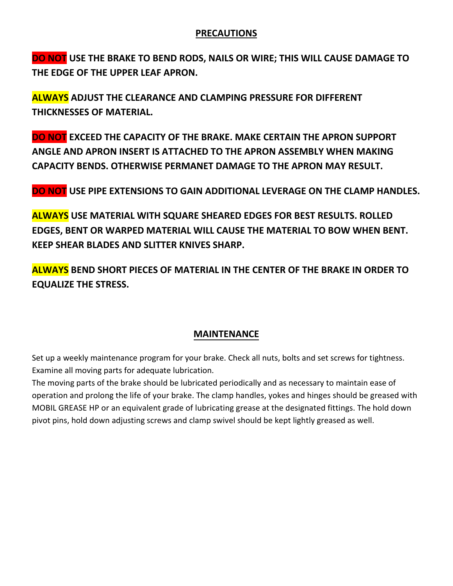### **PRECAUTIONS**

**DO NOT USE THE BRAKE TO BEND RODS, NAILS OR WIRE; THIS WILL CAUSE DAMAGE TO THE EDGE OF THE UPPER LEAF APRON.**

**ALWAYS ADJUST THE CLEARANCE AND CLAMPING PRESSURE FOR DIFFERENT THICKNESSES OF MATERIAL.**

**DO NOT EXCEED THE CAPACITY OF THE BRAKE. MAKE CERTAIN THE APRON SUPPORT ANGLE AND APRON INSERT IS ATTACHED TO THE APRON ASSEMBLY WHEN MAKING CAPACITY BENDS. OTHERWISE PERMANET DAMAGE TO THE APRON MAY RESULT.**

**DO NOT USE PIPE EXTENSIONS TO GAIN ADDITIONAL LEVERAGE ON THE CLAMP HANDLES.**

**ALWAYS USE MATERIAL WITH SQUARE SHEARED EDGES FOR BEST RESULTS. ROLLED EDGES, BENT OR WARPED MATERIAL WILL CAUSE THE MATERIAL TO BOW WHEN BENT. KEEP SHEAR BLADES AND SLITTER KNIVES SHARP.**

**ALWAYS BEND SHORT PIECES OF MATERIAL IN THE CENTER OF THE BRAKE IN ORDER TO EQUALIZE THE STRESS.**

### **MAINTENANCE**

Set up a weekly maintenance program for your brake. Check all nuts, bolts and set screws for tightness. Examine all moving parts for adequate lubrication.

The moving parts of the brake should be lubricated periodically and as necessary to maintain ease of operation and prolong the life of your brake. The clamp handles, yokes and hinges should be greased with MOBIL GREASE HP or an equivalent grade of lubricating grease at the designated fittings. The hold down pivot pins, hold down adjusting screws and clamp swivel should be kept lightly greased as well.